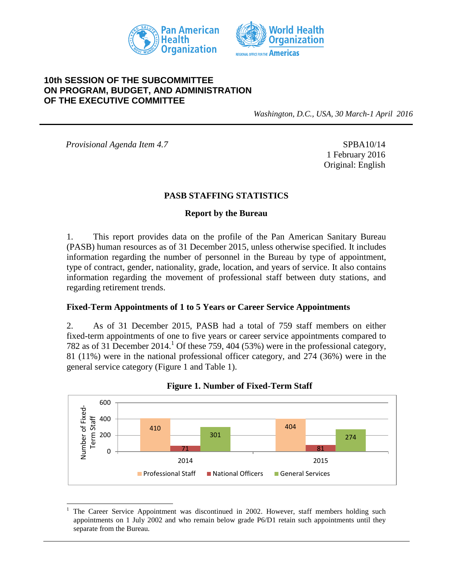



#### **10th SESSION OF THE SUBCOMMITTEE ON PROGRAM, BUDGET, AND ADMINISTRATION OF THE EXECUTIVE COMMITTEE**

*Washington, D.C., USA, 30 March-1 April 2016*

*Provisional Agenda Item 4.7* SPBA10/14

l

1 February 2016 Original: English

#### **PASB STAFFING STATISTICS**

#### **Report by the Bureau**

1. This report provides data on the profile of the Pan American Sanitary Bureau (PASB) human resources as of 31 December 2015, unless otherwise specified. It includes information regarding the number of personnel in the Bureau by type of appointment, type of contract, gender, nationality, grade, location, and years of service. It also contains information regarding the movement of professional staff between duty stations, and regarding retirement trends.

#### **Fixed-Term Appointments of 1 to 5 Years or Career Service Appointments**

2. As of 31 December 2015, PASB had a total of 759 staff members on either fixed-term appointments of one to five years or career service appointments compared to 782 as of 31 December 2014. <sup>1</sup> Of these 759, 404 (53%) were in the professional category, 81 (11%) were in the national professional officer category, and 274 (36%) were in the general service category (Figure 1 and Table 1).





<sup>1</sup> The Career Service Appointment was discontinued in 2002. However, staff members holding such appointments on 1 July 2002 and who remain below grade P6/D1 retain such appointments until they separate from the Bureau.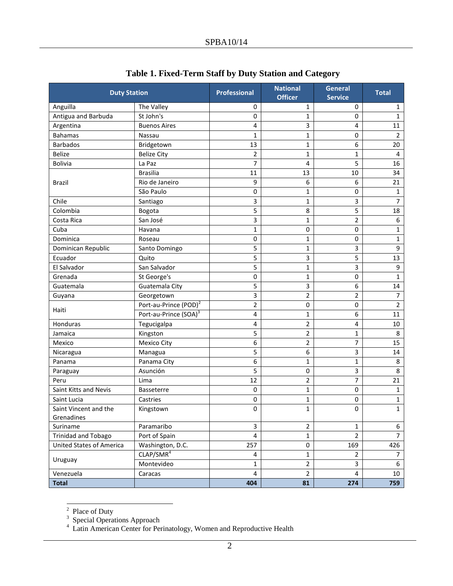| <b>Duty Station</b>             |                                   | <b>Professional</b> | <b>National</b><br><b>Officer</b> | <b>General</b><br><b>Service</b> | <b>Total</b>   |
|---------------------------------|-----------------------------------|---------------------|-----------------------------------|----------------------------------|----------------|
| Anguilla                        | The Valley                        | 0                   | 1                                 | 0                                | $\mathbf{1}$   |
| Antigua and Barbuda             | St John's                         | 0                   | 1                                 | 0                                | $\mathbf{1}$   |
| Argentina                       | <b>Buenos Aires</b>               | 4                   | 3                                 | 4                                | 11             |
| <b>Bahamas</b>                  | Nassau                            | 1                   | 1                                 | 0                                | 2              |
| <b>Barbados</b>                 | Bridgetown                        | 13                  | $\mathbf 1$                       | 6                                | 20             |
| <b>Belize</b>                   | <b>Belize City</b>                | 2                   | $\mathbf{1}$                      | $\mathbf{1}$                     | 4              |
| <b>Bolivia</b>                  | La Paz                            | 7                   | 4                                 | 5                                | 16             |
|                                 | <b>Brasilia</b>                   | 11                  | 13                                | 10                               | 34             |
| Brazil                          | Rio de Janeiro                    | 9                   | 6                                 | 6                                | 21             |
|                                 | São Paulo                         | 0                   | 1                                 | 0                                | $\mathbf 1$    |
| Chile                           | Santiago                          | 3                   | 1                                 | 3                                | 7              |
| Colombia                        | Bogota                            | 5                   | 8                                 | 5                                | 18             |
| Costa Rica                      | San José                          | 3                   | $\mathbf{1}$                      | 2                                | 6              |
| Cuba                            | Havana                            | 1                   | 0                                 | 0                                | 1              |
| Dominica                        | Roseau                            | 0                   | 1                                 | $\pmb{0}$                        | $\mathbf 1$    |
| Dominican Republic              | Santo Domingo                     | 5                   | 1                                 | 3                                | 9              |
| Ecuador                         | Quito                             | 5                   | 3                                 | 5                                | 13             |
| El Salvador                     | San Salvador                      | 5                   | 1                                 | 3                                | 9              |
| Grenada                         | St George's                       | 0                   | 1                                 | 0                                | $\mathbf 1$    |
| Guatemala                       | Guatemala City                    | 5                   | 3                                 | 6                                | 14             |
| Guyana                          | Georgetown                        | 3                   | 2                                 | 2                                | 7              |
| Haiti                           | Port-au-Prince (POD) <sup>2</sup> | 2                   | 0                                 | 0                                | $\overline{2}$ |
|                                 | Port-au-Prince (SOA) <sup>3</sup> | 4                   | $\mathbf 1$                       | 6                                | 11             |
| <b>Honduras</b>                 | Tegucigalpa                       | 4                   | $\overline{2}$                    | 4                                | 10             |
| Jamaica                         | Kingston                          | 5                   | 2                                 | $\mathbf{1}$                     | 8              |
| Mexico                          | Mexico City                       | 6                   | 2                                 | 7                                | 15             |
| Nicaragua                       | Managua                           | 5                   | 6                                 | 3                                | 14             |
| Panama                          | Panama City                       | 6                   | 1                                 | $\mathbf 1$                      | 8              |
| Paraguay                        | Asunción                          | 5                   | 0                                 | 3                                | 8              |
| Peru                            | Lima                              | 12                  | $\overline{2}$                    | 7                                | 21             |
| Saint Kitts and Nevis           | Basseterre                        | 0                   | 1                                 | 0                                | 1              |
| Saint Lucia                     | Castries                          | 0                   | 1                                 | 0                                | $\mathbf 1$    |
| Saint Vincent and the           | Kingstown                         | 0                   | 1                                 | 0                                | $\mathbf 1$    |
| Grenadines                      |                                   |                     |                                   |                                  |                |
| Suriname                        | Paramaribo                        | 3                   | 2                                 | $\mathbf{1}$                     | 6              |
| <b>Trinidad and Tobago</b>      | Port of Spain                     | $\overline{4}$      | $\mathbf 1$                       | $\overline{2}$                   | $\overline{7}$ |
| <b>United States of America</b> | Washington, D.C.                  | 257                 | 0                                 | 169                              | 426            |
| Uruguay                         | CLAP/SMR <sup>4</sup>             | 4                   | $\mathbf 1$                       | $\overline{2}$                   | 7              |
|                                 | Montevideo                        | 1                   | $\overline{c}$                    | 3                                | 6              |
| Venezuela                       | Caracas                           | 4                   | $\overline{2}$                    | 4                                | 10             |
| <b>Total</b>                    |                                   | 404                 | 81                                | 274                              | 759            |

# **Table 1. Fixed-Term Staff by Duty Station and Category**

<sup>&</sup>lt;sup>2</sup> Place of Duty<br>
<sup>3</sup> Special Operations Approach<br>
<sup>4</sup> Latin American Center for Perinatology, Women and Reproductive Health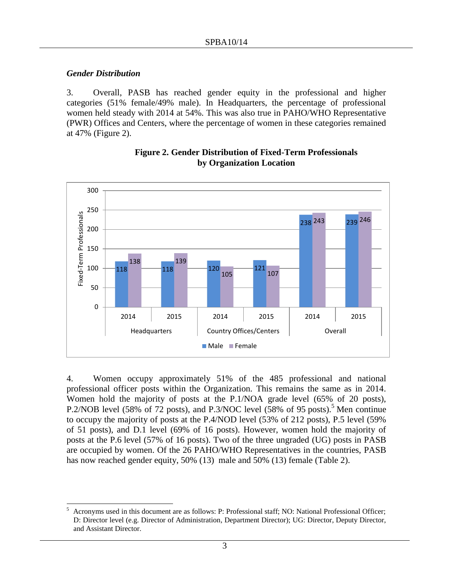#### *Gender Distribution*

3. Overall, PASB has reached gender equity in the professional and higher categories (51% female/49% male). In Headquarters, the percentage of professional women held steady with 2014 at 54%. This was also true in PAHO/WHO Representative (PWR) Offices and Centers, where the percentage of women in these categories remained at 47% (Figure 2).



#### **Figure 2. Gender Distribution of Fixed-Term Professionals by Organization Location**

4. Women occupy approximately 51% of the 485 professional and national professional officer posts within the Organization. This remains the same as in 2014. Women hold the majority of posts at the P.1/NOA grade level (65% of 20 posts), P.2/NOB level (58% of 72 posts), and P.3/NOC level (58% of 95 posts).<sup>5</sup> Men continue to occupy the majority of posts at the P.4/NOD level (53% of 212 posts), P.5 level (59% of 51 posts), and D.1 level (69% of 16 posts). However, women hold the majority of posts at the P.6 level (57% of 16 posts). Two of the three ungraded (UG) posts in PASB are occupied by women. Of the 26 PAHO/WHO Representatives in the countries, PASB has now reached gender equity, 50% (13) male and 50% (13) female (Table 2).

<sup>5</sup> <sup>5</sup> Acronyms used in this document are as follows: P: Professional staff; NO: National Professional Officer; D: Director level (e.g. Director of Administration, Department Director); UG: Director, Deputy Director, and Assistant Director.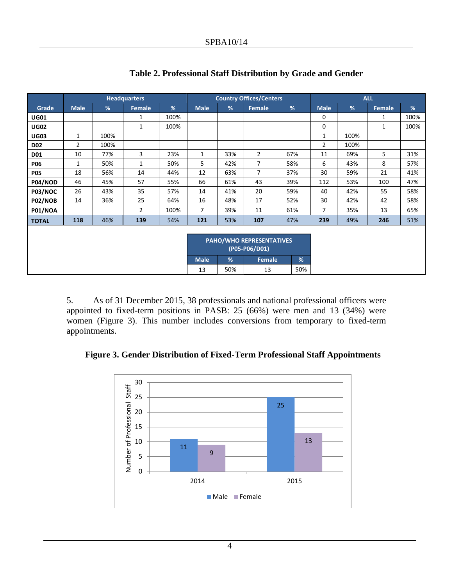|                |                |      | <b>Headquarters</b> |      |             |     | <b>Country Offices/Centers</b>  |     |   |                |      | <b>ALL</b> |      |
|----------------|----------------|------|---------------------|------|-------------|-----|---------------------------------|-----|---|----------------|------|------------|------|
| Grade          | <b>Male</b>    | %    | Female              | %    | <b>Male</b> | %   | <b>Female</b>                   | %   |   | <b>Male</b>    | %    | Female     | %    |
| <b>UG01</b>    |                |      | 1                   | 100% |             |     |                                 |     |   | 0              |      | 1          | 100% |
| <b>UG02</b>    |                |      | $\mathbf{1}$        | 100% |             |     |                                 |     |   | 0              |      | 1          | 100% |
| <b>UG03</b>    | 1              | 100% |                     |      |             |     |                                 |     |   | 1              | 100% |            |      |
| <b>D02</b>     | $\overline{2}$ | 100% |                     |      |             |     |                                 |     |   | $\overline{2}$ | 100% |            |      |
| <b>D01</b>     | 10             | 77%  | 3                   | 23%  | 1           | 33% | $\overline{2}$                  | 67% |   | 11             | 69%  | 5          | 31%  |
| <b>P06</b>     | $\mathbf{1}$   | 50%  | $\mathbf{1}$        | 50%  | 5           | 42% | $\overline{7}$                  | 58% |   | 6              | 43%  | 8          | 57%  |
| <b>P05</b>     | 18             | 56%  | 14                  | 44%  | 12          | 63% | $\overline{7}$                  | 37% |   | 30             | 59%  | 21         | 41%  |
| P04/NOD        | 46             | 45%  | 57                  | 55%  | 66          | 61% | 43                              | 39% |   | 112            | 53%  | 100        | 47%  |
| P03/NOC        | 26             | 43%  | 35                  | 57%  | 14          | 41% | 20                              | 59% |   | 40             | 42%  | 55         | 58%  |
| <b>P02/NOB</b> | 14             | 36%  | 25                  | 64%  | 16          | 48% | 17                              | 52% |   | 30             | 42%  | 42         | 58%  |
| <b>P01/NOA</b> |                |      | $\overline{2}$      | 100% | 7           | 39% | 11                              | 61% |   | 7              | 35%  | 13         | 65%  |
| <b>TOTAL</b>   | 118            | 46%  | 139                 | 54%  | 121         | 53% | 107                             | 47% |   | 239            | 49%  | 246        | 51%  |
|                |                |      |                     |      |             |     |                                 |     |   |                |      |            |      |
|                |                |      |                     |      |             |     | <b>PAHO/WHO REPRESENTATIVES</b> |     |   |                |      |            |      |
|                |                |      |                     |      |             |     | (P05-P06/D01)                   |     |   |                |      |            |      |
|                |                |      |                     |      | <b>Male</b> | %   | Female                          |     | % |                |      |            |      |
|                |                |      |                     |      | 13          | 50% | 13                              |     |   |                |      |            |      |

# **Table 2. Professional Staff Distribution by Grade and Gender**

5. As of 31 December 2015, 38 professionals and national professional officers were appointed to fixed-term positions in PASB: 25 (66%) were men and 13 (34%) were women (Figure 3). This number includes conversions from temporary to fixed-term appointments.

**Figure 3. Gender Distribution of Fixed-Term Professional Staff Appointments**

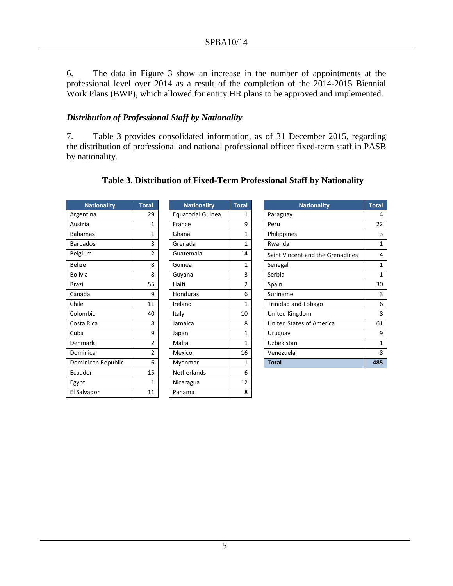6. The data in Figure 3 show an increase in the number of appointments at the professional level over 2014 as a result of the completion of the 2014-2015 Biennial Work Plans (BWP), which allowed for entity HR plans to be approved and implemented.

#### *Distribution of Professional Staff by Nationality*

7. Table 3 provides consolidated information, as of 31 December 2015, regarding the distribution of professional and national professional officer fixed-term staff in PASB by nationality.

| <b>Nationality</b> | <b>Total</b>   | <b>Nationality</b>       | <b>Total</b>   |
|--------------------|----------------|--------------------------|----------------|
| Argentina          | 29             | <b>Equatorial Guinea</b> | 1              |
| Austria            | 1              | France                   | 9              |
| <b>Bahamas</b>     | $\mathbf{1}$   | Ghana                    | $\overline{1}$ |
| <b>Barbados</b>    | 3              | Grenada                  | $\overline{1}$ |
| Belgium            | $\overline{2}$ | Guatemala                | 14             |
| <b>Belize</b>      | 8              | Guinea                   | $\overline{1}$ |
| <b>Bolivia</b>     | 8              | Guyana                   | 3              |
| <b>Brazil</b>      | 55             | Haiti                    | $\overline{2}$ |
| Canada             | 9              | Honduras                 | 6              |
| Chile              | 11             | Ireland                  | $\overline{1}$ |
| Colombia           | 40             | Italy                    | 10             |
| Costa Rica         | 8              | Jamaica                  | 8              |
| Cuba               | 9              | Japan                    | $\overline{1}$ |
| Denmark            | $\overline{2}$ | Malta                    | $\overline{1}$ |
| Dominica           | $\overline{2}$ | Mexico                   | 16             |
| Dominican Republic | 6              | Myanmar                  | 1              |
| Ecuador            | 15             | Netherlands              | 6              |
| Egypt              | 1              | Nicaragua                | 12             |
| El Salvador        | 11             | Panama                   | 8              |
|                    |                |                          |                |

| <b>Nationality</b>       | <b>Total</b>   |
|--------------------------|----------------|
| <b>Equatorial Guinea</b> | 1              |
| France                   | 9              |
| Ghana                    | 1              |
| Grenada                  | 1              |
| Guatemala                | 14             |
| Guinea                   | 1              |
| Guyana                   | 3              |
| Haiti                    | $\overline{2}$ |
| Honduras                 | 6              |
| Ireland                  | 1              |
| Italy                    | 10             |
| Jamaica                  | 8              |
| Japan                    | 1              |
| Malta                    | 1              |
| Mexico                   | 16             |
| Myanmar                  | 1              |
| Netherlands              | 6              |
| Nicaragua                | 12             |
| Panama                   | 8              |
|                          |                |

| <b>Nationality</b> | <b>Total</b> | <b>Nationality</b>       | <b>Total</b> | <b>Nationality</b>               | <b>Total</b> |
|--------------------|--------------|--------------------------|--------------|----------------------------------|--------------|
| Argentina          | 29           | <b>Equatorial Guinea</b> | 1            | Paraguay                         | 4            |
| Austria            | 1            | France                   | 9            | Peru                             | 22           |
| <b>Bahamas</b>     | 1            | Ghana                    | 1            | Philippines                      | 3            |
| <b>Barbados</b>    | 3            | Grenada                  | 1            | Rwanda                           | 1            |
| Belgium            | 2            | Guatemala                | 14           | Saint Vincent and the Grenadines | 4            |
| Belize             | 8            | Guinea<br>1<br>Senegal   |              | 1                                |              |
| <b>Bolivia</b>     | 8            | Guyana                   | 3            | Serbia                           | 1            |
| Brazil             | 55           | Haiti                    | 2            | Spain                            | 30           |
| Canada             | 9            | <b>Honduras</b>          | 6            | Suriname                         | 3            |
| Chile              | 11           | Ireland                  | 1            | Trinidad and Tobago              | 6            |
| Colombia           | 40           | Italy                    | 10           | United Kingdom                   | 8            |
| Costa Rica         | 8            | Jamaica                  | 8            | <b>United States of America</b>  | 61           |
| Cuba               | 9            | Japan                    | 1            | Uruguay                          | 9            |
| Denmark            | 2            | Malta                    | 1            | Uzbekistan                       | 1            |
| Dominica           | 2            | Mexico                   | 16           | Venezuela                        | 8            |
| Dominican Republic | 6            | Myanmar                  | 1            | <b>Total</b>                     | 485          |
|                    |              |                          |              |                                  |              |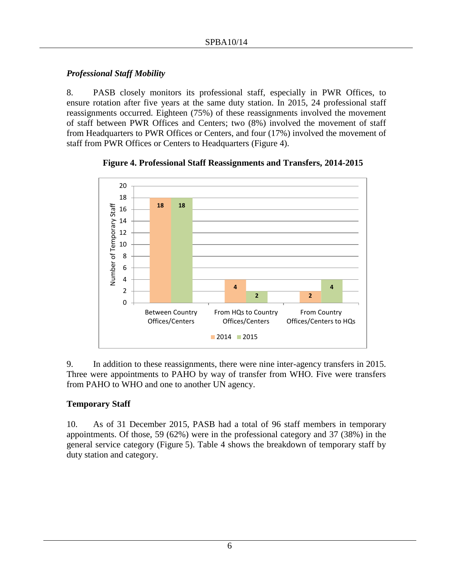#### *Professional Staff Mobility*

8. PASB closely monitors its professional staff, especially in PWR Offices, to ensure rotation after five years at the same duty station. In 2015, 24 professional staff reassignments occurred. Eighteen (75%) of these reassignments involved the movement of staff between PWR Offices and Centers; two (8%) involved the movement of staff from Headquarters to PWR Offices or Centers, and four (17%) involved the movement of staff from PWR Offices or Centers to Headquarters (Figure 4).



**Figure 4. Professional Staff Reassignments and Transfers, 2014-2015**

9. In addition to these reassignments, there were nine inter-agency transfers in 2015. Three were appointments to PAHO by way of transfer from WHO. Five were transfers from PAHO to WHO and one to another UN agency.

#### **Temporary Staff**

10. As of 31 December 2015, PASB had a total of 96 staff members in temporary appointments. Of those, 59 (62%) were in the professional category and 37 (38%) in the general service category (Figure 5). Table 4 shows the breakdown of temporary staff by duty station and category.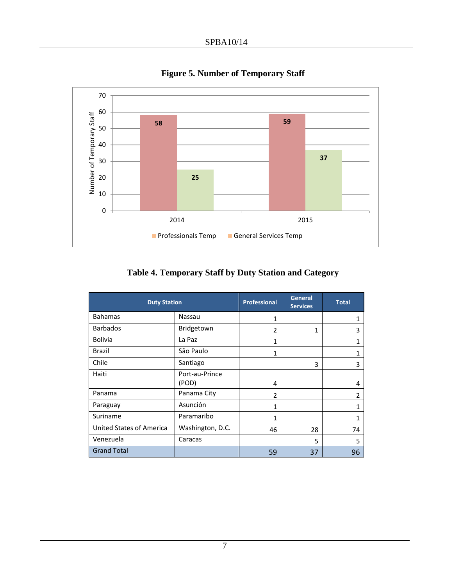

**Figure 5. Number of Temporary Staff**

**Table 4. Temporary Staff by Duty Station and Category**

| <b>Duty Station</b>      |                  | <b>Professional</b>      | General<br><b>Services</b> | <b>Total</b>   |
|--------------------------|------------------|--------------------------|----------------------------|----------------|
| <b>Bahamas</b>           | Nassau           | 1                        |                            |                |
| <b>Barbados</b>          | Bridgetown       | $\overline{2}$           | 1                          | 3              |
| <b>Bolivia</b>           | La Paz           | 1                        |                            |                |
| Brazil                   | São Paulo        | $\mathbf{1}$             |                            |                |
| Chile                    | Santiago         |                          | 3                          | 3              |
| Haiti                    | Port-au-Prince   |                          |                            |                |
|                          | (POD)            | 4                        |                            | 4              |
| Panama                   | Panama City      | $\overline{\phantom{a}}$ |                            | $\mathfrak{p}$ |
| Paraguay                 | Asunción         | $\mathbf{1}$             |                            |                |
| Suriname                 | Paramaribo       | 1                        |                            | 1              |
| United States of America | Washington, D.C. | 46                       | 28                         | 74             |
| Venezuela                | Caracas          |                          | 5                          | 5              |
| <b>Grand Total</b>       |                  | 59                       | 37                         | 96             |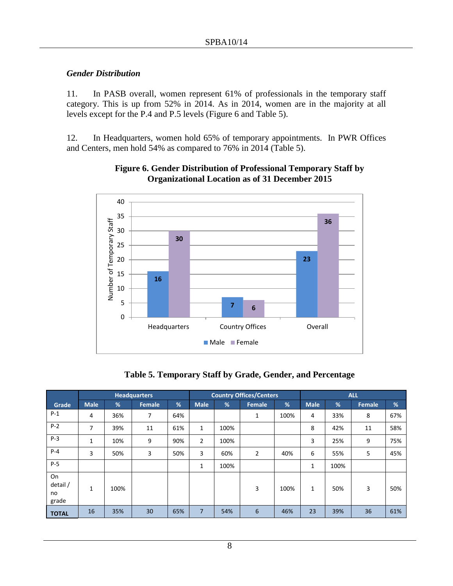#### *Gender Distribution*

11. In PASB overall, women represent 61% of professionals in the temporary staff category. This is up from 52% in 2014. As in 2014, women are in the majority at all levels except for the P.4 and P.5 levels (Figure 6 and Table 5).

12. In Headquarters, women hold 65% of temporary appointments. In PWR Offices and Centers, men hold 54% as compared to 76% in 2014 (Table 5).



#### **Figure 6. Gender Distribution of Professional Temporary Staff by Organizational Location as of 31 December 2015**

#### **Table 5. Temporary Staff by Grade, Gender, and Percentage**

|                               |              |      | <b>Headquarters</b> |     |                |      | <b>Country Offices/Centers</b> |      | <b>ALL</b>   |      |               |     |
|-------------------------------|--------------|------|---------------------|-----|----------------|------|--------------------------------|------|--------------|------|---------------|-----|
| Grade                         | <b>Male</b>  | %    | Female              | %   | <b>Male</b>    | %    | <b>Female</b>                  | %    | <b>Male</b>  | %    | <b>Female</b> | %   |
| $P-1$                         | 4            | 36%  | 7                   | 64% |                |      | 1                              | 100% | 4            | 33%  | 8             | 67% |
| $P-2$                         | 7            | 39%  | 11                  | 61% | $\mathbf{1}$   | 100% |                                |      | 8            | 42%  | 11            | 58% |
| $P-3$                         | 1            | 10%  | 9                   | 90% | $\overline{2}$ | 100% |                                |      | 3            | 25%  | 9             | 75% |
| $P-4$                         | 3            | 50%  | 3                   | 50% | 3              | 60%  | $\overline{2}$                 | 40%  | 6            | 55%  | 5             | 45% |
| $P-5$                         |              |      |                     |     | 1              | 100% |                                |      | 1            | 100% |               |     |
| On<br>detail /<br>no<br>grade | $\mathbf{1}$ | 100% |                     |     |                |      | 3                              | 100% | $\mathbf{1}$ | 50%  | 3             | 50% |
| <b>TOTAL</b>                  | 16           | 35%  | 30                  | 65% | $\overline{7}$ | 54%  | 6                              | 46%  | 23           | 39%  | 36            | 61% |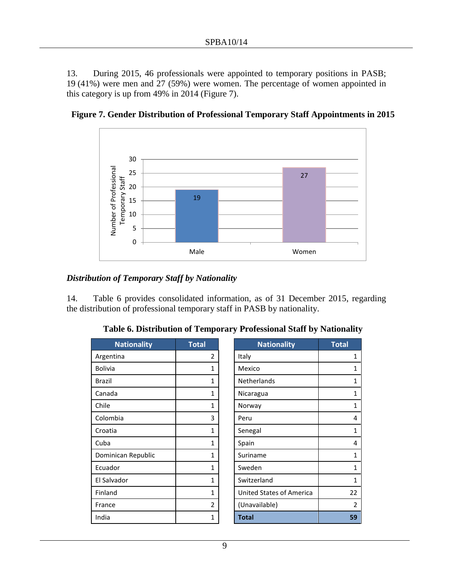13. During 2015, 46 professionals were appointed to temporary positions in PASB; 19 (41%) were men and 27 (59%) were women. The percentage of women appointed in this category is up from 49% in 2014 (Figure 7).



**Figure 7. Gender Distribution of Professional Temporary Staff Appointments in 2015**

#### *Distribution of Temporary Staff by Nationality*

14. Table 6 provides consolidated information, as of 31 December 2015, regarding the distribution of professional temporary staff in PASB by nationality.

| <b>Nationality</b> | <b>Total</b>   | <b>Nationality</b>       | <b>Total</b>   |
|--------------------|----------------|--------------------------|----------------|
| Argentina          | 2              | Italy                    | 1              |
| <b>Bolivia</b>     | 1              | Mexico                   | $\mathbf{1}$   |
| Brazil             | 1              | Netherlands              | $\mathbf{1}$   |
| Canada             | 1              | Nicaragua                | 1              |
| Chile              | $\mathbf{1}$   | Norway                   | $\mathbf{1}$   |
| Colombia           | 3              | Peru                     | 4              |
| Croatia            | $\mathbf{1}$   | Senegal                  | 1              |
| Cuba               | 1              | Spain                    | 4              |
| Dominican Republic | 1              | Suriname                 | 1              |
| Ecuador            | 1              | Sweden                   | $\mathbf{1}$   |
| El Salvador        | $\mathbf{1}$   | Switzerland              | $\mathbf{1}$   |
| Finland            | $\mathbf{1}$   | United States of America | 22             |
| France             | $\overline{2}$ | (Unavailable)            | $\overline{2}$ |
| India              | 1              | <b>Total</b>             | 59             |
|                    |                |                          |                |

|  | Table 6. Distribution of Temporary Professional Staff by Nationality |  |  |  |
|--|----------------------------------------------------------------------|--|--|--|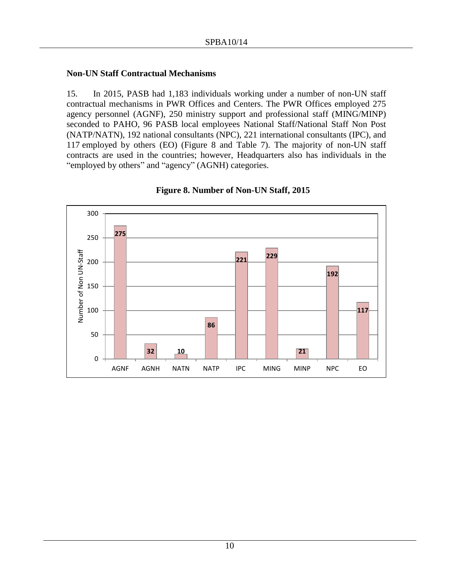#### **Non-UN Staff Contractual Mechanisms**

15. In 2015, PASB had 1,183 individuals working under a number of non-UN staff contractual mechanisms in PWR Offices and Centers. The PWR Offices employed 275 agency personnel (AGNF), 250 ministry support and professional staff (MING/MINP) seconded to PAHO, 96 PASB local employees National Staff/National Staff Non Post (NATP/NATN), 192 national consultants (NPC), 221 international consultants (IPC), and 117 employed by others (EO) (Figure 8 and Table 7). The majority of non-UN staff contracts are used in the countries; however, Headquarters also has individuals in the "employed by others" and "agency" (AGNH) categories.



#### **Figure 8. Number of Non-UN Staff, 2015**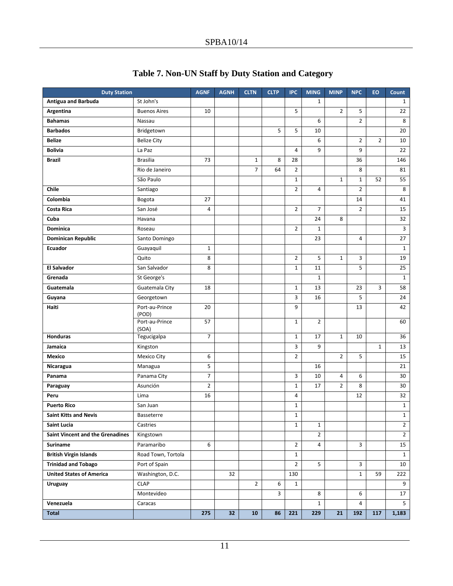| <b>Duty Station</b>              |                         | <b>AGNF</b>    | <b>AGNH</b> | <b>CLTN</b>    | <b>CLTP</b> | <b>IPC</b>     | <b>MING</b>    | <b>MINP</b>    | <b>NPC</b>     | EO             | Count                   |
|----------------------------------|-------------------------|----------------|-------------|----------------|-------------|----------------|----------------|----------------|----------------|----------------|-------------------------|
| <b>Antigua and Barbuda</b>       | St John's               |                |             |                |             |                | $\mathbf{1}$   |                |                |                | 1                       |
| Argentina                        | <b>Buenos Aires</b>     | 10             |             |                |             | 5              |                | $\overline{2}$ | 5              |                | 22                      |
| <b>Bahamas</b>                   | Nassau                  |                |             |                |             |                | 6              |                | $\overline{2}$ |                | 8                       |
| <b>Barbados</b>                  | Bridgetown              |                |             |                | 5           | 5              | 10             |                |                |                | 20                      |
| <b>Belize</b>                    | <b>Belize City</b>      |                |             |                |             |                | 6              |                | $\overline{2}$ | $\overline{2}$ | 10                      |
| <b>Bolivia</b>                   | La Paz                  |                |             |                |             | 4              | 9              |                | 9              |                | 22                      |
| <b>Brazil</b>                    | <b>Brasilia</b>         | 73             |             | $1\,$          | 8           | 28             |                |                | 36             |                | 146                     |
|                                  | Rio de Janeiro          |                |             | $\overline{7}$ | 64          | $\overline{2}$ |                |                | 8              |                | 81                      |
|                                  | São Paulo               |                |             |                |             | $\mathbf{1}$   |                | $\mathbf{1}$   | $\mathbf{1}$   | 52             | 55                      |
| Chile                            | Santiago                |                |             |                |             | $\overline{2}$ | 4              |                | $\overline{2}$ |                | 8                       |
| Colombia                         | Bogota                  | 27             |             |                |             |                |                |                | 14             |                | 41                      |
| Costa Rica                       | San José                | 4              |             |                |             | $\overline{2}$ | $\overline{7}$ |                | $\overline{2}$ |                | 15                      |
| Cuba                             | Havana                  |                |             |                |             |                | 24             | 8              |                |                | 32                      |
| <b>Dominica</b>                  | Roseau                  |                |             |                |             | $\overline{2}$ | $\mathbf{1}$   |                |                |                | $\overline{\mathbf{3}}$ |
| <b>Dominican Republic</b>        | Santo Domingo           |                |             |                |             |                | 23             |                | 4              |                | 27                      |
| <b>Ecuador</b>                   | Guayaquil               | $\mathbf 1$    |             |                |             |                |                |                |                |                | $\mathbf{1}$            |
|                                  | Quito                   | 8              |             |                |             | 2              | 5              | $\mathbf{1}$   | 3              |                | 19                      |
| <b>El Salvador</b>               | San Salvador            | 8              |             |                |             | $\mathbf 1$    | 11             |                | 5              |                | 25                      |
| Grenada                          | St George's             |                |             |                |             |                | $\mathbf 1$    |                |                |                | $\mathbf{1}$            |
| Guatemala                        | Guatemala City          | 18             |             |                |             | $\mathbf 1$    | 13             |                | 23             | 3              | 58                      |
| Guyana                           | Georgetown              |                |             |                |             | 3              | 16             |                | 5              |                | 24                      |
| Haiti                            | Port-au-Prince<br>(POD) | 20             |             |                |             | 9              |                |                | 13             |                | 42                      |
|                                  | Port-au-Prince<br>(SOA) | 57             |             |                |             | $\mathbf{1}$   | $\overline{2}$ |                |                |                | 60                      |
| <b>Honduras</b>                  | Tegucigalpa             | $\overline{7}$ |             |                |             | $\mathbf 1$    | 17             | $\mathbf{1}$   | 10             |                | 36                      |
| Jamaica                          | Kingston                |                |             |                |             | 3              | 9              |                |                | $\mathbf{1}$   | 13                      |
| Mexico                           | Mexico City             | 6              |             |                |             | $\overline{2}$ |                | $\overline{2}$ | 5              |                | 15                      |
| Nicaragua                        | Managua                 | 5              |             |                |             |                | 16             |                |                |                | 21                      |
| Panama                           | Panama City             | $\overline{7}$ |             |                |             | 3              | 10             | 4              | 6              |                | 30                      |
| Paraguay                         | Asunción                | $\overline{2}$ |             |                |             | $\mathbf 1$    | 17             | $\overline{2}$ | 8              |                | 30                      |
| Peru                             | Lima                    | 16             |             |                |             | 4              |                |                | 12             |                | 32                      |
| <b>Puerto Rico</b>               | San Juan                |                |             |                |             | $1\,$          |                |                |                |                | $\mathbf 1$             |
| <b>Saint Kitts and Nevis</b>     | Basseterre              |                |             |                |             | $\mathbf 1$    |                |                |                |                | $\mathbf{1}$            |
| Saint Lucia                      | Castries                |                |             |                |             | $\mathbf{1}$   | $\mathbf{1}$   |                |                |                | $\overline{2}$          |
| Saint Vincent and the Grenadines | Kingstown               |                |             |                |             |                | $\overline{2}$ |                |                |                | $\overline{2}$          |
| Suriname                         | Paramaribo              | 6              |             |                |             | $\overline{2}$ | 4              |                | 3              |                | 15                      |
| <b>British Virgin Islands</b>    | Road Town, Tortola      |                |             |                |             | $\mathbf{1}$   |                |                |                |                | $\mathbf{1}$            |
| <b>Trinidad and Tobago</b>       | Port of Spain           |                |             |                |             | $\overline{2}$ | 5              |                | 3              |                | 10                      |
| <b>United States of America</b>  | Washington, D.C.        |                | 32          |                |             | 130            |                |                | $\mathbf{1}$   | 59             | 222                     |
| Uruguay                          | <b>CLAP</b>             |                |             | $\overline{2}$ | 6           | $\mathbf{1}$   |                |                |                |                | 9                       |
|                                  | Montevideo              |                |             |                | 3           |                | 8              |                | 6              |                | 17                      |
| Venezuela                        | Caracas                 |                |             |                |             |                | $\mathbf{1}$   |                | $\overline{4}$ |                | 5                       |
| <b>Total</b>                     |                         | 275            | 32          | 10             | 86          | 221            | 229            | 21             | 192            | 117            | 1,183                   |

# **Table 7. Non-UN Staff by Duty Station and Category**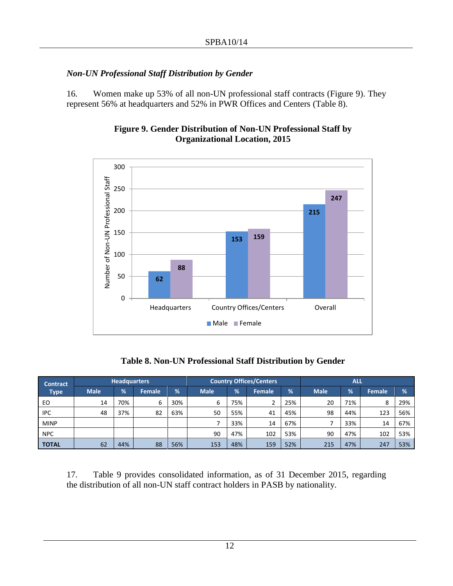# *Non-UN Professional Staff Distribution by Gender*

16. Women make up 53% of all non-UN professional staff contracts (Figure 9). They represent 56% at headquarters and 52% in PWR Offices and Centers (Table 8).



## **Figure 9. Gender Distribution of Non-UN Professional Staff by Organizational Location, 2015**

**Table 8. Non-UN Professional Staff Distribution by Gender**

| <b>Contract</b> |             | <b>Headquarters</b> |        |     | <b>Country Offices/Centers</b> |     | <b>ALL</b> |     |             |     |               |               |
|-----------------|-------------|---------------------|--------|-----|--------------------------------|-----|------------|-----|-------------|-----|---------------|---------------|
| <b>Type</b>     | <b>Male</b> | $\frac{9}{6}$       | Female | %   | <b>Male</b>                    | %   | Female     | %   | <b>Male</b> | %   | <b>Female</b> | $\frac{9}{6}$ |
| EO              | 14          | 70%                 | 6      | 30% | 6                              | 75% | ∍          | 25% | 20          | 71% | 8             | 29%           |
| <b>IPC</b>      | 48          | 37%                 | 82     | 63% | 50                             | 55% | 41         | 45% | 98          | 44% | 123           | 56%           |
| <b>MINP</b>     |             |                     |        |     |                                | 33% | 14         | 67% |             | 33% | 14            | 67%           |
| <b>NPC</b>      |             |                     |        |     | 90                             | 47% | 102        | 53% | 90          | 47% | 102           | 53%           |
| <b>TOTAL</b>    | 62          | 44%                 | 88     | 56% | 153                            | 48% | 159        | 52% | 215         | 47% | 247           | 53%           |

17. Table 9 provides consolidated information, as of 31 December 2015, regarding the distribution of all non-UN staff contract holders in PASB by nationality.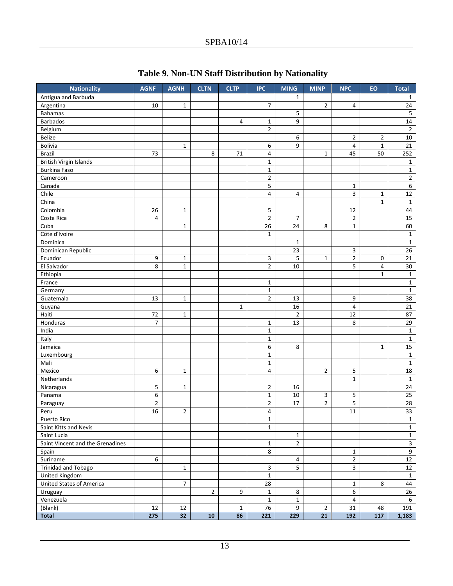| <b>Nationality</b>               | <b>AGNF</b>    | <b>AGNH</b>     | <b>CLTN</b>    | <b>CLTP</b>  | <b>IPC</b>     | <b>MING</b>    | <b>MINP</b>    | <b>NPC</b>              | EO             | <b>Total</b>   |
|----------------------------------|----------------|-----------------|----------------|--------------|----------------|----------------|----------------|-------------------------|----------------|----------------|
| Antigua and Barbuda              |                |                 |                |              |                | $\mathbf{1}$   |                |                         |                | 1              |
| Argentina                        | 10             | $\mathbf{1}$    |                |              | 7              |                | $\overline{2}$ | 4                       |                | 24             |
| <b>Bahamas</b>                   |                |                 |                |              |                | 5              |                |                         |                | 5              |
| <b>Barbados</b>                  |                |                 |                | 4            | 1              | 9              |                |                         |                | 14             |
| Belgium                          |                |                 |                |              | $\overline{2}$ |                |                |                         |                | $\overline{2}$ |
| Belize                           |                |                 |                |              |                | 6              |                | $\overline{2}$          | $\overline{2}$ | 10             |
| Bolivia                          |                | $\mathbf 1$     |                |              | 6              | 9              |                | 4                       | $\mathbf 1$    | 21             |
| <b>Brazil</b>                    | 73             |                 | 8              | 71           | 4              |                | $\mathbf{1}$   | 45                      | 50             | 252            |
| <b>British Virgin Islands</b>    |                |                 |                |              | $\mathbf{1}$   |                |                |                         |                | $\mathbf{1}$   |
| Burkina Faso                     |                |                 |                |              | $\mathbf{1}$   |                |                |                         |                | $\mathbf{1}$   |
| Cameroon                         |                |                 |                |              | $\overline{2}$ |                |                |                         |                | $\mathbf 2$    |
| Canada                           |                |                 |                |              | 5              |                |                | $\mathbf 1$             |                | 6              |
| Chile                            |                |                 |                |              | 4              | 4              |                | 3                       | $\mathbf 1$    | 12             |
| China                            |                |                 |                |              |                |                |                |                         | $\mathbf{1}$   | $\mathbf{1}$   |
| Colombia                         | 26             | $\mathbf{1}$    |                |              | 5              |                |                | 12                      |                | 44             |
| Costa Rica                       | 4              |                 |                |              | $\overline{2}$ | 7              |                | $\overline{2}$          |                | 15             |
| Cuba                             |                | $\mathbf{1}$    |                |              | 26             | 24             | 8              | $\mathbf 1$             |                | 60             |
| Côte d'Ivoire                    |                |                 |                |              | $\mathbf{1}$   |                |                |                         |                | $\mathbf{1}$   |
| Dominica                         |                |                 |                |              |                | $\mathbf{1}$   |                |                         |                | $\mathbf{1}$   |
| Dominican Republic               |                |                 |                |              |                | 23             |                | 3                       |                | 26             |
| Ecuador                          | 9              | $\mathbf{1}$    |                |              | 3              | 5              | $\mathbf{1}$   | $\overline{2}$          | $\mathbf 0$    | 21             |
| El Salvador                      | 8              | $\mathbf{1}$    |                |              | 2              | 10             |                | 5                       | 4              | 30             |
| Ethiopia                         |                |                 |                |              |                |                |                |                         | $\mathbf{1}$   | $\mathbf{1}$   |
| France                           |                |                 |                |              | $\mathbf{1}$   |                |                |                         |                | $\mathbf{1}$   |
| Germany                          |                |                 |                |              | $\mathbf{1}$   |                |                |                         |                | $\mathbf{1}$   |
| Guatemala                        | 13             | $\mathbf{1}$    |                |              | $\overline{2}$ | 13             |                | 9                       |                | 38             |
| Guyana                           |                |                 |                | $\mathbf{1}$ |                | 16             |                | 4                       |                | 21             |
| Haiti                            | 72             | $\mathbf{1}$    |                |              |                | $\overline{2}$ |                | 12                      |                | 87             |
| Honduras                         | $\overline{7}$ |                 |                |              | $\mathbf{1}$   | 13             |                | 8                       |                | 29             |
| India                            |                |                 |                |              | $\mathbf{1}$   |                |                |                         |                | $\mathbf{1}$   |
| Italy                            |                |                 |                |              | $\mathbf{1}$   |                |                |                         |                | $\mathbf{1}$   |
| Jamaica                          |                |                 |                |              | 6              | 8              |                |                         | $\mathbf{1}$   | 15             |
| Luxembourg                       |                |                 |                |              | $\mathbf{1}$   |                |                |                         |                | $\mathbf{1}$   |
| Mali                             |                |                 |                |              | $\mathbf{1}$   |                |                |                         |                | $\mathbf{1}$   |
| Mexico                           | 6              | $\mathbf{1}$    |                |              | 4              |                | $\overline{2}$ | 5                       |                | 18             |
| Netherlands                      |                |                 |                |              |                |                |                | $\mathbf{1}$            |                | $\mathbf{1}$   |
| Nicaragua                        | 5              | 1               |                |              | 2              | 16             |                |                         |                | 24             |
| Panama                           | 6              |                 |                |              | $\mathbf{1}$   | 10             | 3              | 5                       |                | 25             |
| Paraguay                         | $\overline{2}$ |                 |                |              | $\mathbf{2}$   | 17             | $\overline{2}$ | 5                       |                | 28             |
| Peru                             | 16             | $\overline{2}$  |                |              | 4              |                |                | 11                      |                | 33             |
| Puerto Rico                      |                |                 |                |              | $\mathbf{1}$   |                |                |                         |                | $\mathbf{1}$   |
| Saint Kitts and Nevis            |                |                 |                |              | $\mathbf{1}$   |                |                |                         |                | $\mathbf 1$    |
| Saint Lucia                      |                |                 |                |              |                | $\mathbf{1}$   |                |                         |                | $\mathbf{1}$   |
| Saint Vincent and the Grenadines |                |                 |                |              | $\mathbf{1}$   | $\overline{2}$ |                |                         |                | $\overline{3}$ |
| Spain                            |                |                 |                |              | 8              |                |                | $\mathbf{1}$            |                | $\overline{9}$ |
| Suriname                         | 6              |                 |                |              |                | $\overline{4}$ |                | $\overline{2}$          |                | 12             |
| Trinidad and Tobago              |                | $\mathbf{1}$    |                |              | 3              | 5              |                | $\mathbf{3}$            |                | 12             |
| United Kingdom                   |                |                 |                |              | $\mathbf{1}$   |                |                |                         |                | $\mathbf{1}$   |
| United States of America         |                | $\overline{7}$  |                |              | 28             |                |                | $\mathbf{1}$            | 8              | 44             |
| Uruguay                          |                |                 | $\overline{2}$ | 9            | $\mathbf{1}$   | 8              |                | $6\overline{6}$         |                | 26             |
| Venezuela                        |                |                 |                |              | $\mathbf 1$    | $\mathbf{1}$   |                | $\overline{\mathbf{4}}$ |                | 6              |
| (Blank)                          | 12             | 12              |                | $\mathbf{1}$ | 76             | 9              | $\overline{2}$ | 31                      | 48             | 191            |
| Total                            | 275            | 32 <sub>2</sub> | 10             | 86           | 221            | 229            | 21             | 192                     | 117            | 1,183          |

## **Table 9. Non-UN Staff Distribution by Nationality**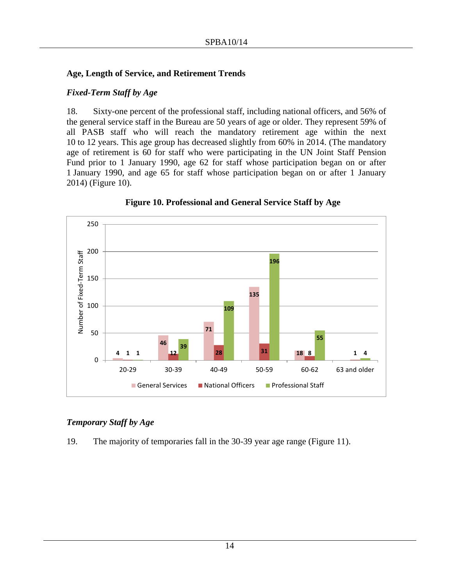#### **Age, Length of Service, and Retirement Trends**

#### *Fixed-Term Staff by Age*

18. Sixty-one percent of the professional staff, including national officers, and 56% of the general service staff in the Bureau are 50 years of age or older. They represent 59% of all PASB staff who will reach the mandatory retirement age within the next 10 to 12 years. This age group has decreased slightly from 60% in 2014. (The mandatory age of retirement is 60 for staff who were participating in the UN Joint Staff Pension Fund prior to 1 January 1990, age 62 for staff whose participation began on or after 1 January 1990, and age 65 for staff whose participation began on or after 1 January 2014) (Figure 10).



**Figure 10. Professional and General Service Staff by Age**

#### *Temporary Staff by Age*

19. The majority of temporaries fall in the 30-39 year age range (Figure 11).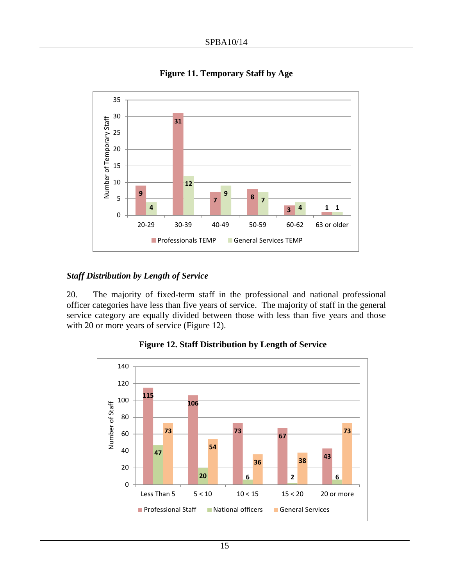

**Figure 11. Temporary Staff by Age**

#### *Staff Distribution by Length of Service*

20. The majority of fixed-term staff in the professional and national professional officer categories have less than five years of service. The majority of staff in the general service category are equally divided between those with less than five years and those with 20 or more years of service (Figure 12).



**Figure 12. Staff Distribution by Length of Service**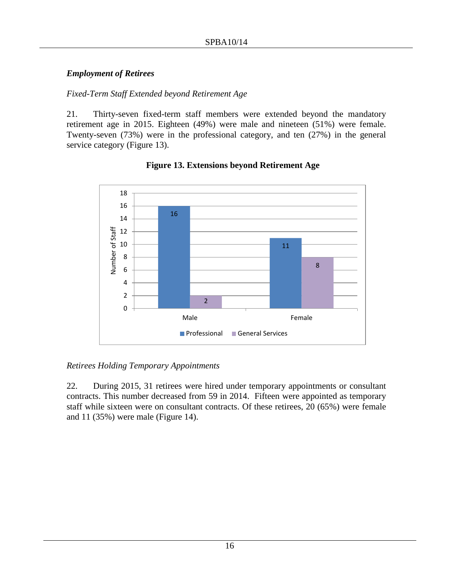## *Employment of Retirees*

## *Fixed-Term Staff Extended beyond Retirement Age*

21. Thirty-seven fixed-term staff members were extended beyond the mandatory retirement age in 2015. Eighteen (49%) were male and nineteen (51%) were female. Twenty-seven (73%) were in the professional category, and ten (27%) in the general service category (Figure 13).



## **Figure 13. Extensions beyond Retirement Age**

#### *Retirees Holding Temporary Appointments*

22. During 2015, 31 retirees were hired under temporary appointments or consultant contracts. This number decreased from 59 in 2014. Fifteen were appointed as temporary staff while sixteen were on consultant contracts. Of these retirees, 20 (65%) were female and 11 (35%) were male (Figure 14).